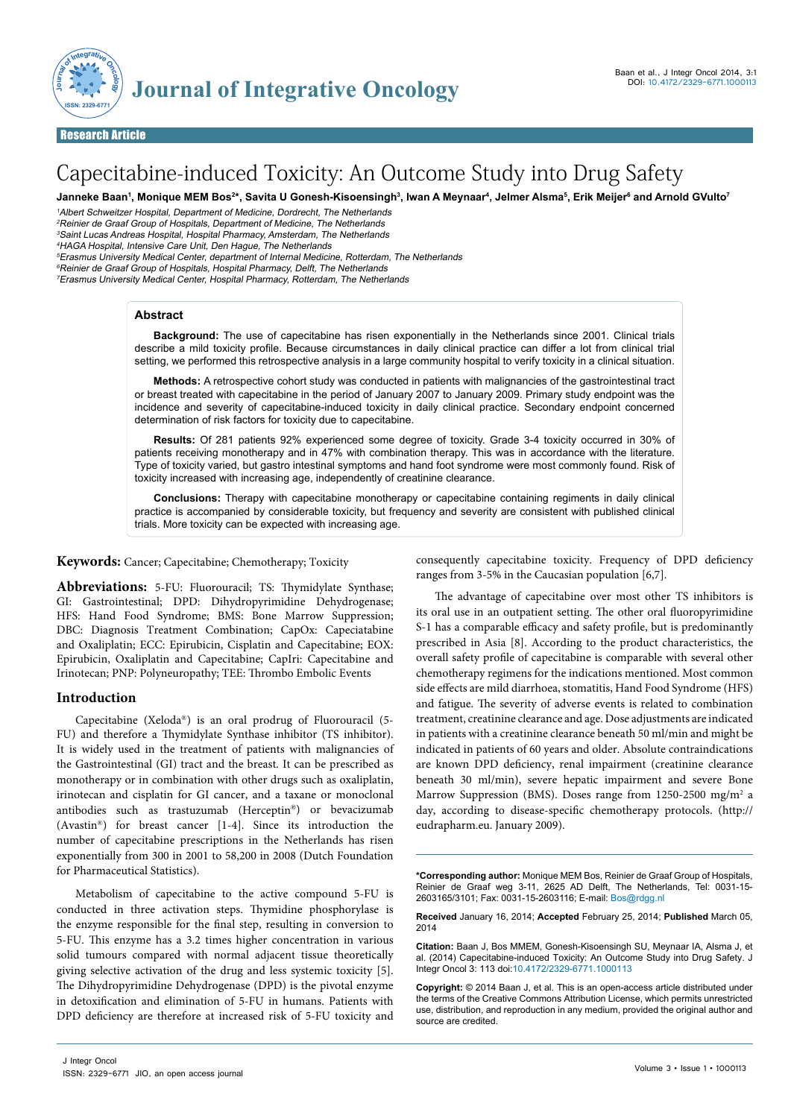

# Capecitabine-induced Toxicity: An Outcome Study into Drug Safety

Janneke Baan', Monique MEM Bos<sup>2</sup>\*, Savita U Gonesh-Kisoensingh<sup>3</sup>, Iwan A Meynaar<sup>4</sup>, Jelmer Alsma<sup>5</sup>, Erik Meijer<sup>s</sup> and Arnold GVulto<sup>7</sup>

<sup>1</sup>Albert Schweitzer Hospital, Department of Medicine, Dordrecht, The Netherlands <sup>2</sup>Reinier de Graaf Group of Hospitals, Department of Medicine, The Netherlands <sup>3</sup>Saint Lucas Andreas Hospital, Hospital Pharmacy, Amsterdam, The Netherlands <sup>4</sup>HAGA Hospital, Intensive Care Unit, Den Hague, The Netherlands <sup>5</sup>Erasmus University Medical Center, department of Internal Medicine, Rotterdam, The Netherlands <sup>6</sup>Reinier de Graaf Group of Hospitals, Hospital Pharmacy, Delft, The Netherlands

<sup>7</sup>Erasmus University Medical Center, Hospital Pharmacy, Rotterdam, The Netherlands

# **Abstract**

**Background:** The use of capecitabine has risen exponentially in the Netherlands since 2001. Clinical trials describe a mild toxicity profile. Because circumstances in daily clinical practice can differ a lot from clinical trial setting, we performed this retrospective analysis in a large community hospital to verify toxicity in a clinical situation.

**Methods:** A retrospective cohort study was conducted in patients with malignancies of the gastrointestinal tract or breast treated with capecitabine in the period of January 2007 to January 2009. Primary study endpoint was the incidence and severity of capecitabine-induced toxicity in daily clinical practice. Secondary endpoint concerned determination of risk factors for toxicity due to capecitabine.

**Results:** Of 281 patients 92% experienced some degree of toxicity. Grade 3-4 toxicity occurred in 30% of patients receiving monotherapy and in 47% with combination therapy. This was in accordance with the literature. Type of toxicity varied, but gastro intestinal symptoms and hand foot syndrome were most commonly found. Risk of toxicity increased with increasing age, independently of creatinine clearance.

**Conclusions:** Therapy with capecitabine monotherapy or capecitabine containing regiments in daily clinical practice is accompanied by considerable toxicity, but frequency and severity are consistent with published clinical trials. More toxicity can be expected with increasing age.

**Keywords:** Cancer; Capecitabine; Chemotherapy; Toxicity

**Abbreviations:** 5-FU: Fluorouracil; TS: Thymidylate Synthase; GI: Gastrointestinal; DPD: Dihydropyrimidine Dehydrogenase; HFS: Hand Food Syndrome; BMS: Bone Marrow Suppression; DBC: Diagnosis Treatment Combination; CapOx: Capeciatabine and Oxaliplatin; ECC: Epirubicin, Cisplatin and Capecitabine; EOX: Epirubicin, Oxaliplatin and Capecitabine; CapIri: Capecitabine and Irinotecan; PNP: Polyneuropathy; TEE: Thrombo Embolic Events

#### **Introduction**

Capecitabine (Xeloda®) is an oral prodrug of Fluorouracil (5- FU) and therefore a Thymidylate Synthase inhibitor (TS inhibitor). It is widely used in the treatment of patients with malignancies of the Gastrointestinal (GI) tract and the breast. It can be prescribed as monotherapy or in combination with other drugs such as oxaliplatin, irinotecan and cisplatin for GI cancer, and a taxane or monoclonal antibodies such as trastuzumab (Herceptin®) or bevacizumab (Avastin®) for breast cancer [1-4]. Since its introduction the number of capecitabine prescriptions in the Netherlands has risen exponentially from 300 in 2001 to 58,200 in 2008 (Dutch Foundation for Pharmaceutical Statistics).

Metabolism of capecitabine to the active compound 5-FU is conducted in three activation steps. Thymidine phosphorylase is the enzyme responsible for the final step, resulting in conversion to 5-FU. This enzyme has a 3.2 times higher concentration in various solid tumours compared with normal adjacent tissue theoretically giving selective activation of the drug and less systemic toxicity [5]. The Dihydropyrimidine Dehydrogenase (DPD) is the pivotal enzyme in detoxification and elimination of 5-FU in humans. Patients with DPD deficiency are therefore at increased risk of 5-FU toxicity and

consequently capecitabine toxicity. Frequency of DPD deficiency ranges from 3-5% in the Caucasian population [6,7].

The advantage of capecitabine over most other TS inhibitors is its oral use in an outpatient setting. The other oral fluoropyrimidine S-1 has a comparable efficacy and safety profile, but is predominantly prescribed in Asia [8]. According to the product characteristics, the overall safety profile of capecitabine is comparable with several other chemotherapy regimens for the indications mentioned. Most common side effects are mild diarrhoea, stomatitis, Hand Food Syndrome (HFS) and fatigue. The severity of adverse events is related to combination treatment, creatinine clearance and age. Dose adjustments are indicated in patients with a creatinine clearance beneath 50 ml/min and might be indicated in patients of 60 years and older. Absolute contraindications are known DPD deficiency, renal impairment (creatinine clearance beneath 30 ml/min), severe hepatic impairment and severe Bone Marrow Suppression (BMS). Doses range from 1250-2500 mg/m<sup>2</sup> a day, according to disease-specific chemotherapy protocols. (http:// eudrapharm.eu. January 2009).

**\*Corresponding author:** Monique MEM Bos, Reinier de Graaf Group of Hospitals, Reinier de Graaf weg 3-11, 2625 AD Delft, The Netherlands, Tel: 0031-15- 2603165/3101; Fax: 0031-15-2603116; E-mail: Bos@rdgg.nl

**Received** January 16, 2014; **Accepted** February 25, 2014; **Published** March 05, 2014

**Citation:** Baan J, Bos MMEM, Gonesh-Kisoensingh SU, Meynaar IA, Alsma J, et al. (2014) Capecitabine-induced Toxicity: An Outcome Study into Drug Safety. J Integr Oncol 3: 113 doi:10.4172/2329-6771.1000113

**Copyright:** © 2014 Baan J, et al. This is an open-access article distributed under the terms of the Creative Commons Attribution License, which permits unrestricted use, distribution, and reproduction in any medium, provided the original author and source are credited.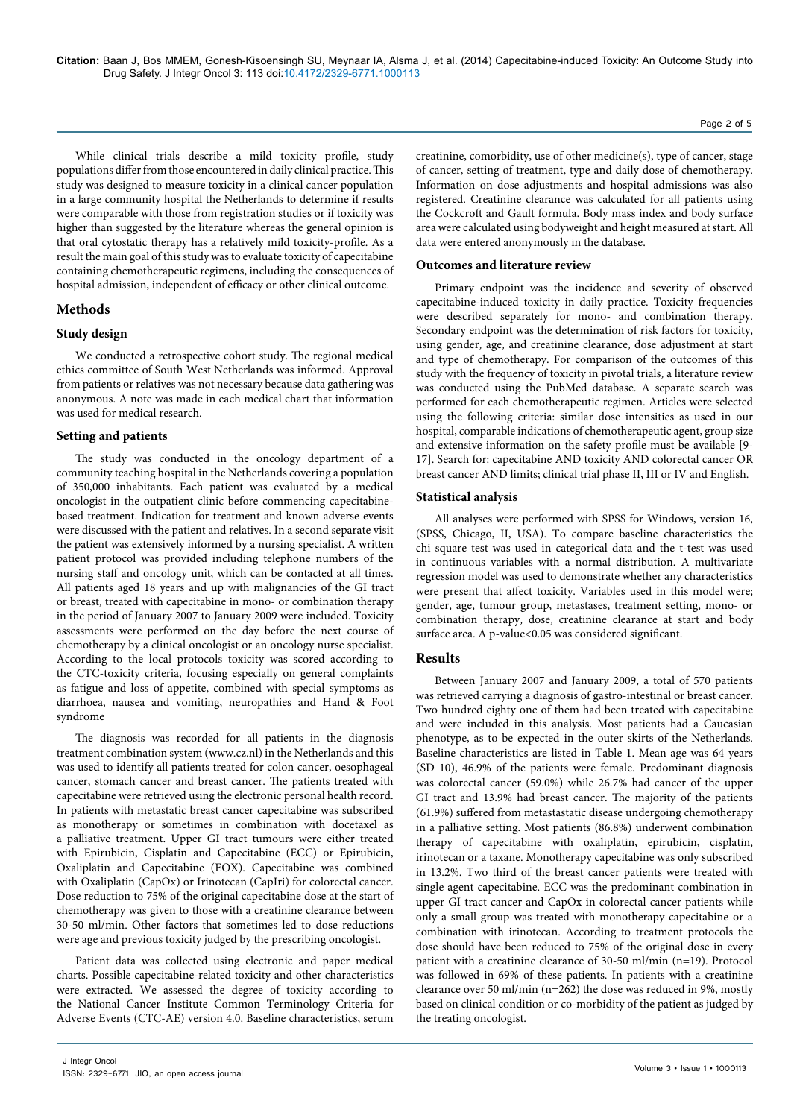While clinical trials describe a mild toxicity profile, study populations differ from those encountered in daily clinical practice. This study was designed to measure toxicity in a clinical cancer population in a large community hospital the Netherlands to determine if results were comparable with those from registration studies or if toxicity was higher than suggested by the literature whereas the general opinion is that oral cytostatic therapy has a relatively mild toxicity-profile. As a result the main goal of this study was to evaluate toxicity of capecitabine containing chemotherapeutic regimens, including the consequences of hospital admission, independent of efficacy or other clinical outcome.

# **Methods**

# **Study design**

We conducted a retrospective cohort study. The regional medical ethics committee of South West Netherlands was informed. Approval from patients or relatives was not necessary because data gathering was anonymous. A note was made in each medical chart that information was used for medical research.

# **Setting and patients**

The study was conducted in the oncology department of a community teaching hospital in the Netherlands covering a population of 350,000 inhabitants. Each patient was evaluated by a medical oncologist in the outpatient clinic before commencing capecitabinebased treatment. Indication for treatment and known adverse events were discussed with the patient and relatives. In a second separate visit the patient was extensively informed by a nursing specialist. A written patient protocol was provided including telephone numbers of the nursing staff and oncology unit, which can be contacted at all times. All patients aged 18 years and up with malignancies of the GI tract or breast, treated with capecitabine in mono- or combination therapy in the period of January 2007 to January 2009 were included. Toxicity assessments were performed on the day before the next course of chemotherapy by a clinical oncologist or an oncology nurse specialist. According to the local protocols toxicity was scored according to the CTC-toxicity criteria, focusing especially on general complaints as fatigue and loss of appetite, combined with special symptoms as diarrhoea, nausea and vomiting, neuropathies and Hand & Foot syndrome

The diagnosis was recorded for all patients in the diagnosis treatment combination system (www.cz.nl) in the Netherlands and this was used to identify all patients treated for colon cancer, oesophageal cancer, stomach cancer and breast cancer. The patients treated with capecitabine were retrieved using the electronic personal health record. In patients with metastatic breast cancer capecitabine was subscribed as monotherapy or sometimes in combination with docetaxel as a palliative treatment. Upper GI tract tumours were either treated with Epirubicin, Cisplatin and Capecitabine (ECC) or Epirubicin, Oxaliplatin and Capecitabine (EOX). Capecitabine was combined with Oxaliplatin (CapOx) or Irinotecan (CapIri) for colorectal cancer. Dose reduction to 75% of the original capecitabine dose at the start of chemotherapy was given to those with a creatinine clearance between 30-50 ml/min. Other factors that sometimes led to dose reductions were age and previous toxicity judged by the prescribing oncologist.

Patient data was collected using electronic and paper medical charts. Possible capecitabine-related toxicity and other characteristics were extracted. We assessed the degree of toxicity according to the National Cancer Institute Common Terminology Criteria for Adverse Events (CTC-AE) version 4.0. Baseline characteristics, serum

creatinine, comorbidity, use of other medicine(s), type of cancer, stage of cancer, setting of treatment, type and daily dose of chemotherapy. Information on dose adjustments and hospital admissions was also registered. Creatinine clearance was calculated for all patients using the Cockcroft and Gault formula. Body mass index and body surface area were calculated using bodyweight and height measured at start. All data were entered anonymously in the database.

# **Outcomes and literature review**

Primary endpoint was the incidence and severity of observed capecitabine-induced toxicity in daily practice. Toxicity frequencies were described separately for mono- and combination therapy. Secondary endpoint was the determination of risk factors for toxicity, using gender, age, and creatinine clearance, dose adjustment at start and type of chemotherapy. For comparison of the outcomes of this study with the frequency of toxicity in pivotal trials, a literature review was conducted using the PubMed database. A separate search was performed for each chemotherapeutic regimen. Articles were selected using the following criteria: similar dose intensities as used in our hospital, comparable indications of chemotherapeutic agent, group size and extensive information on the safety profile must be available [9- 17]. Search for: capecitabine AND toxicity AND colorectal cancer OR breast cancer AND limits; clinical trial phase II, III or IV and English.

# **Statistical analysis**

All analyses were performed with SPSS for Windows, version 16, (SPSS, Chicago, II, USA). To compare baseline characteristics the chi square test was used in categorical data and the t-test was used in continuous variables with a normal distribution. A multivariate regression model was used to demonstrate whether any characteristics were present that affect toxicity. Variables used in this model were; gender, age, tumour group, metastases, treatment setting, mono- or combination therapy, dose, creatinine clearance at start and body surface area. A p-value<0.05 was considered significant.

# **Results**

Between January 2007 and January 2009, a total of 570 patients was retrieved carrying a diagnosis of gastro-intestinal or breast cancer. Two hundred eighty one of them had been treated with capecitabine and were included in this analysis. Most patients had a Caucasian phenotype, as to be expected in the outer skirts of the Netherlands. Baseline characteristics are listed in Table 1. Mean age was 64 years (SD 10), 46.9% of the patients were female. Predominant diagnosis was colorectal cancer (59.0%) while 26.7% had cancer of the upper GI tract and 13.9% had breast cancer. The majority of the patients (61.9%) suffered from metastastatic disease undergoing chemotherapy in a palliative setting. Most patients (86.8%) underwent combination therapy of capecitabine with oxaliplatin, epirubicin, cisplatin, irinotecan or a taxane. Monotherapy capecitabine was only subscribed in 13.2%. Two third of the breast cancer patients were treated with single agent capecitabine. ECC was the predominant combination in upper GI tract cancer and CapOx in colorectal cancer patients while only a small group was treated with monotherapy capecitabine or a combination with irinotecan. According to treatment protocols the dose should have been reduced to 75% of the original dose in every patient with a creatinine clearance of 30-50 ml/min (n=19). Protocol was followed in 69% of these patients. In patients with a creatinine clearance over 50 ml/min (n=262) the dose was reduced in 9%, mostly based on clinical condition or co-morbidity of the patient as judged by the treating oncologist.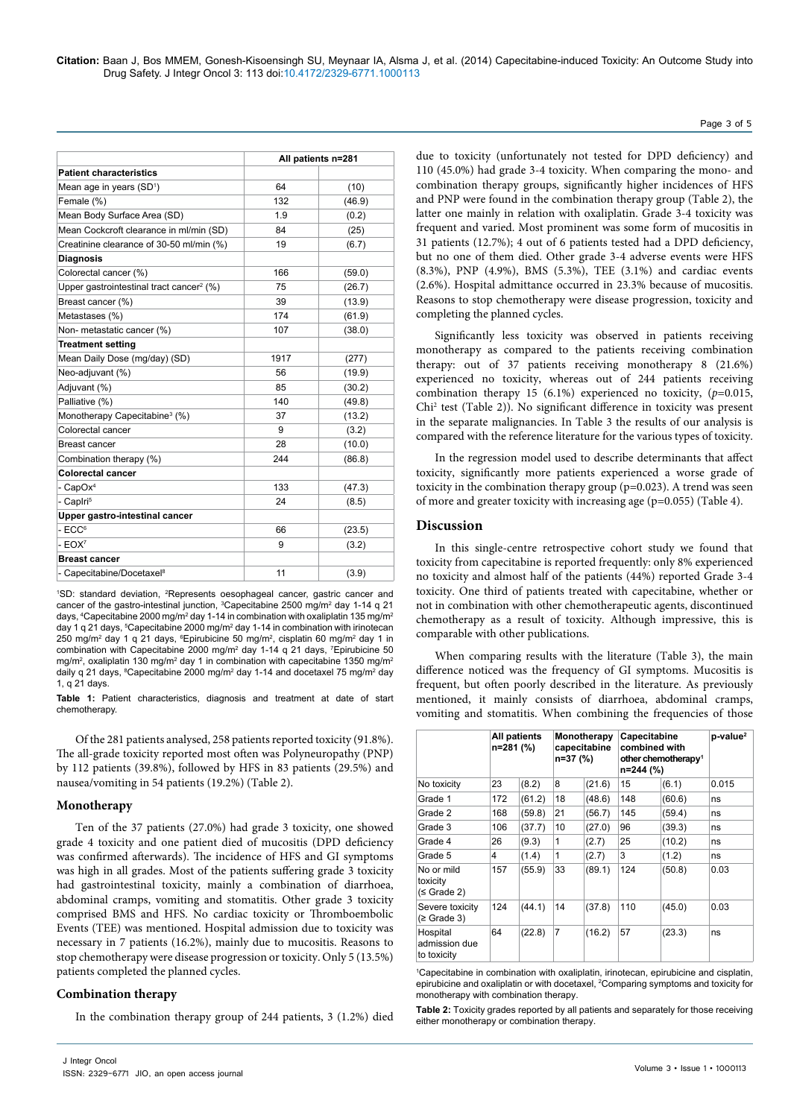|                                                      | All patients n=281 |        |
|------------------------------------------------------|--------------------|--------|
| <b>Patient characteristics</b>                       |                    |        |
| Mean age in years (SD <sup>1</sup> )                 | 64                 | (10)   |
| Female (%)                                           | 132                | (46.9) |
| Mean Body Surface Area (SD)                          | 1.9                | (0.2)  |
| Mean Cockcroft clearance in ml/min (SD)              | 84                 | (25)   |
| Creatinine clearance of 30-50 ml/min (%)             | 19                 | (6.7)  |
| <b>Diagnosis</b>                                     |                    |        |
| Colorectal cancer (%)                                | 166                | (59.0) |
| Upper gastrointestinal tract cancer <sup>2</sup> (%) | 75                 | (26.7) |
| Breast cancer (%)                                    | 39                 | (13.9) |
| Metastases (%)                                       | 174                | (61.9) |
| Non- metastatic cancer (%)                           | 107                | (38.0) |
| <b>Treatment setting</b>                             |                    |        |
| Mean Daily Dose (mg/day) (SD)                        | 1917               | (277)  |
| Neo-adjuvant (%)                                     | 56                 | (19.9) |
| Adjuvant (%)                                         | 85                 | (30.2) |
| Palliative (%)                                       | 140                | (49.8) |
| Monotherapy Capecitabine <sup>3</sup> (%)            | 37                 | (13.2) |
| Colorectal cancer                                    | 9                  | (3.2)  |
| <b>Breast cancer</b>                                 | 28                 | (10.0) |
| Combination therapy (%)                              | 244                | (86.8) |
| Colorectal cancer                                    |                    |        |
| - CapOx <sup>4</sup>                                 | 133                | (47.3) |
| - Caplri <sup>5</sup>                                | 24                 | (8.5)  |
| Upper gastro-intestinal cancer                       |                    |        |
| $-$ ECC $6$                                          | 66                 | (23.5) |
| $-$ EOX $7$                                          | 9                  | (3.2)  |
| <b>Breast cancer</b>                                 |                    |        |
| - Capecitabine/Docetaxel <sup>8</sup>                | 11                 | (3.9)  |

1 SD: standard deviation, 2 Represents oesophageal cancer, gastric cancer and cancer of the gastro-intestinal junction, <sup>3</sup>Capecitabine 2500 mg/m<sup>2</sup> day 1-14 q 21 days, <sup>4</sup>Capecitabine 2000 mg/m<sup>2</sup> day 1-14 in combination with oxaliplatin 135 mg/m<sup>2</sup> day 1 q 21 days, <sup>s</sup>Capecitabine 2000 mg/m<sup>2</sup> day 1-14 in combination with irinotecan 250 mg/m<sup>2</sup> day 1 q 21 days, <sup>6</sup>Epirubicine 50 mg/m<sup>2</sup>, cisplatin 60 mg/m<sup>2</sup> day 1 in combination with Capecitabine 2000 mg/m2 day 1-14 q 21 days, 7 Epirubicine 50 mg/m<sup>2</sup>, oxaliplatin 130 mg/m<sup>2</sup> day 1 in combination with capecitabine 1350 mg/m<sup>2</sup> daily q 21 days, <sup>8</sup>Capecitabine 2000 mg/m<sup>2</sup> day 1-14 and docetaxel 75 mg/m<sup>2</sup> day 1, q 21 days.

**Table 1:** Patient characteristics, diagnosis and treatment at date of start chemotherapy.

Of the 281 patients analysed, 258 patients reported toxicity (91.8%). The all-grade toxicity reported most often was Polyneuropathy (PNP) by 112 patients (39.8%), followed by HFS in 83 patients (29.5%) and nausea/vomiting in 54 patients (19.2%) (Table 2).

#### **Monotherapy**

Ten of the 37 patients (27.0%) had grade 3 toxicity, one showed grade 4 toxicity and one patient died of mucositis (DPD deficiency was confirmed afterwards). The incidence of HFS and GI symptoms was high in all grades. Most of the patients suffering grade 3 toxicity had gastrointestinal toxicity, mainly a combination of diarrhoea, abdominal cramps, vomiting and stomatitis. Other grade 3 toxicity comprised BMS and HFS. No cardiac toxicity or Thromboembolic Events (TEE) was mentioned. Hospital admission due to toxicity was necessary in 7 patients (16.2%), mainly due to mucositis. Reasons to stop chemotherapy were disease progression or toxicity. Only 5 (13.5%) patients completed the planned cycles.

# **Combination therapy**

In the combination therapy group of 244 patients, 3 (1.2%) died

due to toxicity (unfortunately not tested for DPD deficiency) and 110 (45.0%) had grade 3-4 toxicity. When comparing the mono- and combination therapy groups, significantly higher incidences of HFS and PNP were found in the combination therapy group (Table 2), the latter one mainly in relation with oxaliplatin. Grade 3-4 toxicity was frequent and varied. Most prominent was some form of mucositis in 31 patients (12.7%); 4 out of 6 patients tested had a DPD deficiency, but no one of them died. Other grade 3-4 adverse events were HFS (8.3%), PNP (4.9%), BMS (5.3%), TEE (3.1%) and cardiac events (2.6%). Hospital admittance occurred in 23.3% because of mucositis. Reasons to stop chemotherapy were disease progression, toxicity and completing the planned cycles.

Significantly less toxicity was observed in patients receiving monotherapy as compared to the patients receiving combination therapy: out of 37 patients receiving monotherapy 8 (21.6%) experienced no toxicity, whereas out of 244 patients receiving combination therapy 15 (6.1%) experienced no toxicity, (*p*=0.015, Chi2 test (Table 2)). No significant difference in toxicity was present in the separate malignancies. In Table 3 the results of our analysis is compared with the reference literature for the various types of toxicity.

In the regression model used to describe determinants that affect toxicity, significantly more patients experienced a worse grade of toxicity in the combination therapy group (p=0.023). A trend was seen of more and greater toxicity with increasing age (p=0.055) (Table 4).

# **Discussion**

In this single-centre retrospective cohort study we found that toxicity from capecitabine is reported frequently: only 8% experienced no toxicity and almost half of the patients (44%) reported Grade 3-4 toxicity. One third of patients treated with capecitabine, whether or not in combination with other chemotherapeutic agents, discontinued chemotherapy as a result of toxicity. Although impressive, this is comparable with other publications.

When comparing results with the literature (Table 3), the main difference noticed was the frequency of GI symptoms. Mucositis is frequent, but often poorly described in the literature. As previously mentioned, it mainly consists of diarrhoea, abdominal cramps, vomiting and stomatitis. When combining the frequencies of those

|                                                  |     | All patients<br>n=281 (%) | $n=37(%)$ | Monotherapy<br>capecitabine | n=244 (%) | Capecitabine<br>combined with<br>other chemotherapy <sup>1</sup> | p-value <sup>2</sup> |
|--------------------------------------------------|-----|---------------------------|-----------|-----------------------------|-----------|------------------------------------------------------------------|----------------------|
| No toxicity                                      | 23  | (8.2)                     | 8         | (21.6)                      | 15        | (6.1)                                                            | 0.015                |
| Grade 1                                          | 172 | (61.2)                    | 18        | (48.6)                      | 148       | (60.6)                                                           | ns                   |
| Grade 2                                          | 168 | (59.8)                    | 21        | (56.7)                      | 145       | (59.4)                                                           | ns                   |
| Grade 3                                          | 106 | (37.7)                    | 10        | (27.0)                      | 96        | (39.3)                                                           | ns                   |
| Grade 4                                          | 26  | (9.3)                     | 1         | (2.7)                       | 25        | (10.2)                                                           | ns                   |
| Grade 5                                          | 4   | (1.4)                     | 1         | (2.7)                       | 3         | (1.2)                                                            | ns                   |
| No or mild<br>toxicity<br>$(S \text{ Grade } 2)$ | 157 | (55.9)                    | 33        | (89.1)                      | 124       | (50.8)                                                           | 0.03                 |
| Severe toxicity<br>$(≥$ Grade 3)                 | 124 | (44.1)                    | 14        | (37.8)                      | 110       | (45.0)                                                           | 0.03                 |
| Hospital<br>admission due<br>to toxicity         | 64  | (22.8)                    | 7         | (16.2)                      | 57        | (23.3)                                                           | ns                   |

1 Capecitabine in combination with oxaliplatin, irinotecan, epirubicine and cisplatin, epirubicine and oxaliplatin or with docetaxel, <sup>2</sup>Comparing symptoms and toxicity for monotherapy with combination therapy.

**Table 2:** Toxicity grades reported by all patients and separately for those receiving either monotherapy or combination therapy.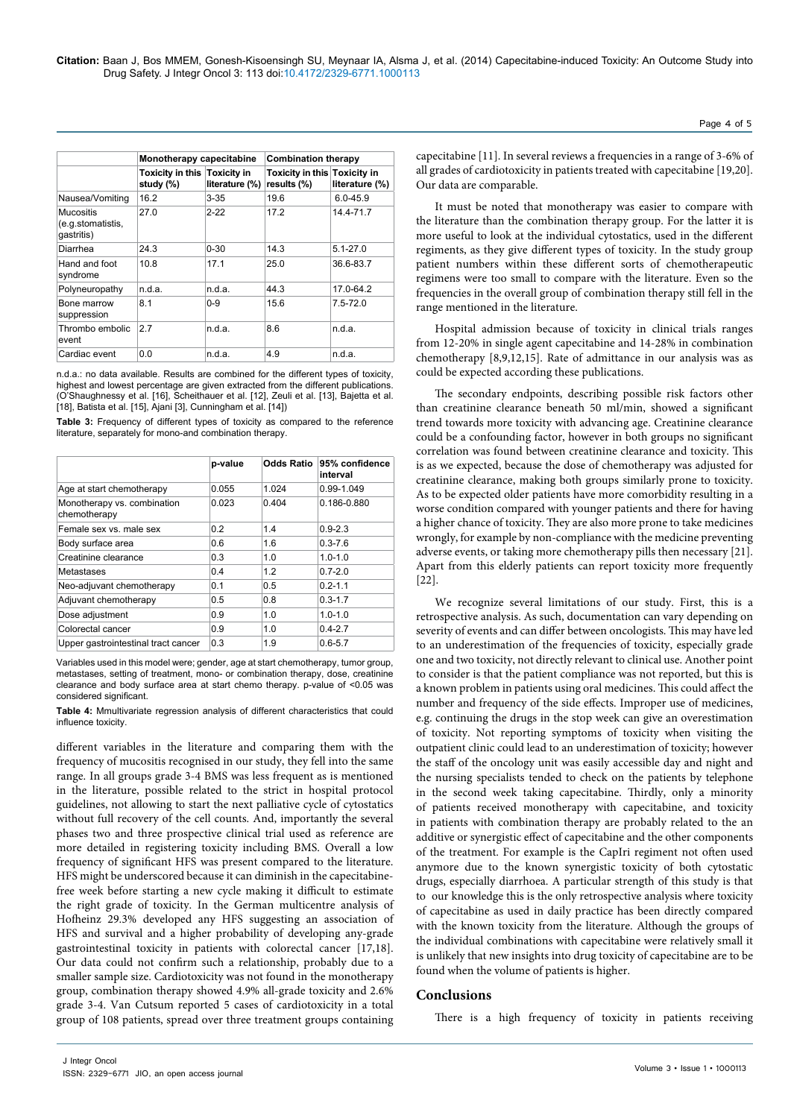|                                              | Monotherapy capecitabine                  |                | <b>Combination therapy</b>                  |                |
|----------------------------------------------|-------------------------------------------|----------------|---------------------------------------------|----------------|
|                                              | Toxicity in this Toxicity in<br>study (%) | literature (%) | Toxicity in this Toxicity in<br>results (%) | literature (%) |
| Nausea/Vomiting                              | 16.2                                      | $3 - 35$       | 19.6                                        | $6.0 - 45.9$   |
| Mucositis<br>(e.g.stomatistis,<br>qastritis) | 27.0                                      | $2 - 22$       | 172                                         | 14.4-71.7      |
| Diarrhea                                     | 24.3                                      | $0 - 30$       | 14.3                                        | $5.1 - 27.0$   |
| Hand and foot<br>syndrome                    | 10.8                                      | 17.1           | 25.0                                        | 36.6-83.7      |
| Polyneuropathy                               | n.d.a.                                    | n.d.a.         | 44.3                                        | 17.0-64.2      |
| Bone marrow<br>suppression                   | 8.1                                       | $0 - 9$        | 15.6                                        | $7.5 - 72.0$   |
| Thrombo embolic<br>event                     | 2.7                                       | n.d.a.         | 8.6                                         | n.d.a.         |
| Cardiac event                                | 0.0                                       | n.d.a.         | 4.9                                         | n.d.a.         |

n.d.a.: no data available. Results are combined for the different types of toxicity, highest and lowest percentage are given extracted from the different publications. (O'Shaughnessy et al. [16], Scheithauer et al. [12], Zeuli et al. [13], Bajetta et al. [18], Batista et al. [15], Ajani [3], Cunningham et al. [14])

**Table 3:** Frequency of different types of toxicity as compared to the reference literature, separately for mono-and combination therapy.

|                                             | p-value | <b>Odds Ratio</b> | 95% confidence<br>interval |
|---------------------------------------------|---------|-------------------|----------------------------|
| Age at start chemotherapy                   | 0.055   | 1.024             | 0.99-1.049                 |
| Monotherapy vs. combination<br>chemotherapy | 0.023   | 0.404             | 0.186-0.880                |
| Female sex vs. male sex                     | 0.2     | 1.4               | $0.9 - 2.3$                |
| Body surface area                           | 0.6     | 1.6               | $0.3 - 7.6$                |
| Creatinine clearance                        | 0.3     | 1.0               | $1.0 - 1.0$                |
| Metastases                                  | 0.4     | 1.2               | $0.7 - 2.0$                |
| Neo-adjuvant chemotherapy                   | 0.1     | 0.5               | $0.2 - 1.1$                |
| Adjuvant chemotherapy                       | 0.5     | 0.8               | $0.3 - 1.7$                |
| Dose adjustment                             | 0.9     | 1.0               | $1.0 - 1.0$                |
| Colorectal cancer                           | 0.9     | 1.0               | $0.4 - 2.7$                |
| Upper gastrointestinal tract cancer         | 0.3     | 1.9               | $0.6 - 5.7$                |

Variables used in this model were; gender, age at start chemotherapy, tumor group, metastases, setting of treatment, mono- or combination therapy, dose, creatinine clearance and body surface area at start chemo therapy. p-value of <0.05 was considered significant.

**Table 4:** Mmultivariate regression analysis of different characteristics that could influence toxicity.

different variables in the literature and comparing them with the frequency of mucositis recognised in our study, they fell into the same range. In all groups grade 3-4 BMS was less frequent as is mentioned in the literature, possible related to the strict in hospital protocol guidelines, not allowing to start the next palliative cycle of cytostatics without full recovery of the cell counts. And, importantly the several phases two and three prospective clinical trial used as reference are more detailed in registering toxicity including BMS. Overall a low frequency of significant HFS was present compared to the literature. HFS might be underscored because it can diminish in the capecitabinefree week before starting a new cycle making it difficult to estimate the right grade of toxicity. In the German multicentre analysis of Hofheinz 29.3% developed any HFS suggesting an association of HFS and survival and a higher probability of developing any-grade gastrointestinal toxicity in patients with colorectal cancer [17,18]. Our data could not confirm such a relationship, probably due to a smaller sample size. Cardiotoxicity was not found in the monotherapy group, combination therapy showed 4.9% all-grade toxicity and 2.6% grade 3-4. Van Cutsum reported 5 cases of cardiotoxicity in a total group of 108 patients, spread over three treatment groups containing capecitabine [11]. In several reviews a frequencies in a range of 3-6% of all grades of cardiotoxicity in patients treated with capecitabine [19,20]. Our data are comparable.

It must be noted that monotherapy was easier to compare with the literature than the combination therapy group. For the latter it is more useful to look at the individual cytostatics, used in the different regiments, as they give different types of toxicity. In the study group patient numbers within these different sorts of chemotherapeutic regimens were too small to compare with the literature. Even so the frequencies in the overall group of combination therapy still fell in the range mentioned in the literature.

Hospital admission because of toxicity in clinical trials ranges from 12-20% in single agent capecitabine and 14-28% in combination chemotherapy [8,9,12,15]. Rate of admittance in our analysis was as could be expected according these publications.

The secondary endpoints, describing possible risk factors other than creatinine clearance beneath 50 ml/min, showed a significant trend towards more toxicity with advancing age. Creatinine clearance could be a confounding factor, however in both groups no significant correlation was found between creatinine clearance and toxicity. This is as we expected, because the dose of chemotherapy was adjusted for creatinine clearance, making both groups similarly prone to toxicity. As to be expected older patients have more comorbidity resulting in a worse condition compared with younger patients and there for having a higher chance of toxicity. They are also more prone to take medicines wrongly, for example by non-compliance with the medicine preventing adverse events, or taking more chemotherapy pills then necessary [21]. Apart from this elderly patients can report toxicity more frequently [22].

We recognize several limitations of our study. First, this is a retrospective analysis. As such, documentation can vary depending on severity of events and can differ between oncologists. This may have led to an underestimation of the frequencies of toxicity, especially grade one and two toxicity, not directly relevant to clinical use. Another point to consider is that the patient compliance was not reported, but this is a known problem in patients using oral medicines. This could affect the number and frequency of the side effects. Improper use of medicines, e.g. continuing the drugs in the stop week can give an overestimation of toxicity. Not reporting symptoms of toxicity when visiting the outpatient clinic could lead to an underestimation of toxicity; however the staff of the oncology unit was easily accessible day and night and the nursing specialists tended to check on the patients by telephone in the second week taking capecitabine. Thirdly, only a minority of patients received monotherapy with capecitabine, and toxicity in patients with combination therapy are probably related to the an additive or synergistic effect of capecitabine and the other components of the treatment. For example is the CapIri regiment not often used anymore due to the known synergistic toxicity of both cytostatic drugs, especially diarrhoea. A particular strength of this study is that to our knowledge this is the only retrospective analysis where toxicity of capecitabine as used in daily practice has been directly compared with the known toxicity from the literature. Although the groups of the individual combinations with capecitabine were relatively small it is unlikely that new insights into drug toxicity of capecitabine are to be found when the volume of patients is higher.

# **Conclusions**

There is a high frequency of toxicity in patients receiving